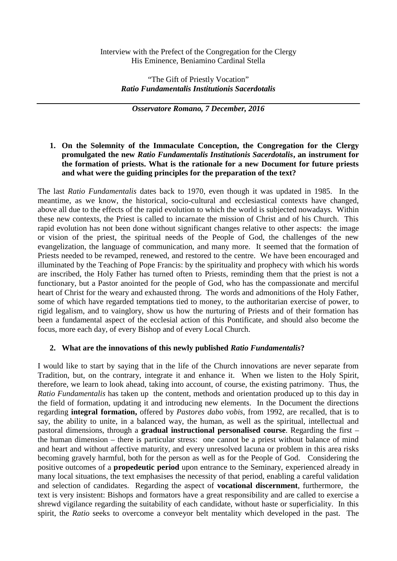### Interview with the Prefect of the Congregation for the Clergy His Eminence, Beniamino Cardinal Stella

"The Gift of Priestly Vocation" *Ratio Fundamentalis Institutionis Sacerdotalis*

*Osservatore Romano, 7 December, 2016*

## **1. On the Solemnity of the Immaculate Conception, the Congregation for the Clergy promulgated the new** *Ratio Fundamentalis Institutionis Sacerdotalis***, an instrument for the formation of priests. What is the rationale for a new Document for future priests and what were the guiding principles for the preparation of the text?**

The last *Ratio Fundamentalis* dates back to 1970, even though it was updated in 1985. In the meantime, as we know, the historical, socio-cultural and ecclesiastical contexts have changed, above all due to the effects of the rapid evolution to which the world is subjected nowadays. Within these new contexts, the Priest is called to incarnate the mission of Christ and of his Church. This rapid evolution has not been done without significant changes relative to other aspects: the image or vision of the priest, the spiritual needs of the People of God, the challenges of the new evangelization, the language of communication, and many more. It seemed that the formation of Priests needed to be revamped, renewed, and restored to the centre. We have been encouraged and illuminated by the Teaching of Pope Francis: by the spirituality and prophecy with which his words are inscribed, the Holy Father has turned often to Priests, reminding them that the priest is not a functionary, but a Pastor anointed for the people of God, who has the compassionate and merciful heart of Christ for the weary and exhausted throng. The words and admonitions of the Holy Father, some of which have regarded temptations tied to money, to the authoritarian exercise of power, to rigid legalism, and to vainglory, show us how the nurturing of Priests and of their formation has been a fundamental aspect of the ecclesial action of this Pontificate, and should also become the focus, more each day, of every Bishop and of every Local Church.

# **2. What are the innovations of this newly published** *Ratio Fundamentalis***?**

I would like to start by saying that in the life of the Church innovations are never separate from Tradition, but, on the contrary, integrate it and enhance it. When we listen to the Holy Spirit, therefore, we learn to look ahead, taking into account, of course, the existing patrimony. Thus, the *Ratio Fundamentalis* has taken up the content, methods and orientation produced up to this day in the field of formation, updating it and introducing new elements. In the Document the directions regarding **integral formation,** offered by *Pastores dabo vobis*, from 1992, are recalled, that is to say, the ability to unite, in a balanced way, the human, as well as the spiritual, intellectual and pastoral dimensions, through a **gradual instructional personalised course**. Regarding the first – the human dimension – there is particular stress: one cannot be a priest without balance of mind and heart and without affective maturity, and every unresolved lacuna or problem in this area risks becoming gravely harmful, both for the person as well as for the People of God. Considering the positive outcomes of a **propedeutic period** upon entrance to the Seminary, experienced already in many local situations, the text emphasises the necessity of that period, enabling a careful validation and selection of candidates. Regarding the aspect of **vocational discernment**, furthermore, the text is very insistent: Bishops and formators have a great responsibility and are called to exercise a shrewd vigilance regarding the suitability of each candidate, without haste or superficiality. In this spirit, the *Ratio* seeks to overcome a conveyor belt mentality which developed in the past. The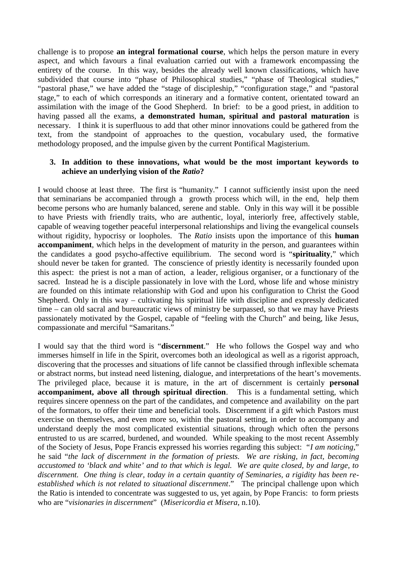challenge is to propose **an integral formational course**, which helps the person mature in every aspect, and which favours a final evaluation carried out with a framework encompassing the entirety of the course. In this way, besides the already well known classifications, which have subdivided that course into "phase of Philosophical studies," "phase of Theological studies," "pastoral phase," we have added the "stage of discipleship," "configuration stage," and "pastoral stage," to each of which corresponds an itinerary and a formative content, orientated toward an assimilation with the image of the Good Shepherd. In brief: to be a good priest, in addition to having passed all the exams, **a demonstrated human, spiritual and pastoral maturation** is necessary. I think it is superfluous to add that other minor innovations could be gathered from the text, from the standpoint of approaches to the question, vocabulary used, the formative methodology proposed, and the impulse given by the current Pontifical Magisterium.

#### **3. In addition to these innovations, what would be the most important keywords to achieve an underlying vision of the** *Ratio***?**

I would choose at least three. The first is "humanity." I cannot sufficiently insist upon the need that seminarians be accompanied through a growth process which will, in the end, help them become persons who are humanly balanced, serene and stable. Only in this way will it be possible to have Priests with friendly traits, who are authentic, loyal, interiorly free, affectively stable, capable of weaving together peaceful interpersonal relationships and living the evangelical counsels without rigidity, hypocrisy or loopholes. The *Ratio* insists upon the importance of this **human accompaniment**, which helps in the development of maturity in the person, and guarantees within the candidates a good psycho-affective equilibrium. The second word is "**spirituality**," which should never be taken for granted. The conscience of priestly identity is necessarily founded upon this aspect: the priest is not a man of action, a leader, religious organiser, or a functionary of the sacred. Instead he is a disciple passionately in love with the Lord, whose life and whose ministry are founded on this intimate relationship with God and upon his configuration to Christ the Good Shepherd. Only in this way – cultivating his spiritual life with discipline and expressly dedicated time – can old sacral and bureaucratic views of ministry be surpassed, so that we may have Priests passionately motivated by the Gospel, capable of "feeling with the Church" and being, like Jesus, compassionate and merciful "Samaritans."

I would say that the third word is "**discernment**." He who follows the Gospel way and who immerses himself in life in the Spirit, overcomes both an ideological as well as a rigorist approach, discovering that the processes and situations of life cannot be classified through inflexible schemata or abstract norms, but instead need listening, dialogue, and interpretations of the heart's movements. The privileged place, because it is mature, in the art of discernment is certainly **personal accompaniment, above all through spiritual direction**. This is a fundamental setting, which requires sincere openness on the part of the candidates, and competence and availability on the part of the formators, to offer their time and beneficial tools. Discernment if a gift which Pastors must exercise on themselves, and even more so, within the pastoral setting, in order to accompany and understand deeply the most complicated existential situations, through which often the persons entrusted to us are scarred, burdened, and wounded. While speaking to the most recent Assembly of the Society of Jesus, Pope Francis expressed his worries regarding this subject: "*I am noticing*," he said "*the lack of discernment in the formation of priests. We are risking, in fact, becoming accustomed to 'black and white' and to that which is legal. We are quite closed, by and large, to discernment. One thing is clear, today in a certain quantity of Seminaries, a rigidity has been re established which is not related to situational discernment*." The principal challenge upon which the Ratio is intended to concentrate was suggested to us, yet again, by Pope Francis: to form priests who are "*visionaries in discernment*" (*Misericordia et Misera*, n.10).